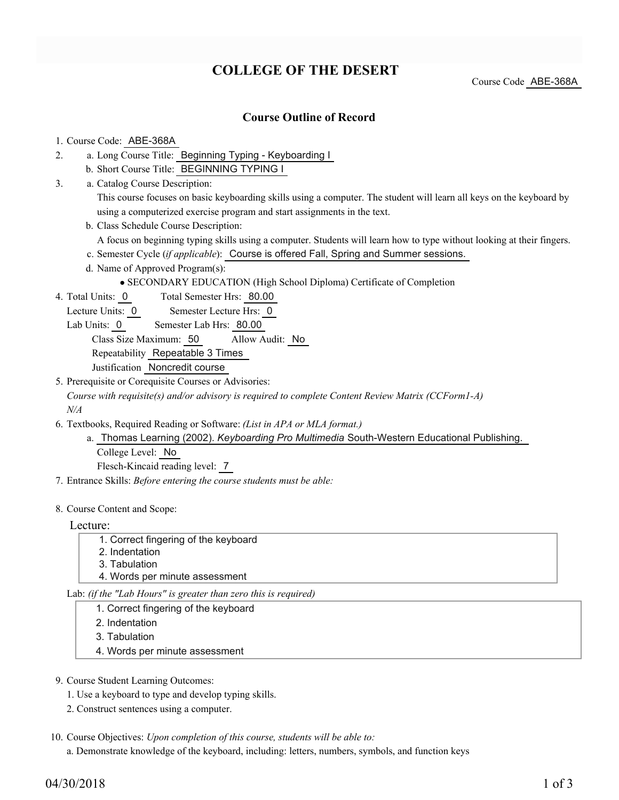# **COLLEGE OF THE DESERT**

Course Code ABE-368A

### **Course Outline of Record**

### 1. Course Code: ABE-368A

- a. Long Course Title: Beginning Typing Keyboarding I 2.
	- b. Short Course Title: BEGINNING TYPING I
- Catalog Course Description: a. 3.

This course focuses on basic keyboarding skills using a computer. The student will learn all keys on the keyboard by using a computerized exercise program and start assignments in the text.

b. Class Schedule Course Description:

A focus on beginning typing skills using a computer. Students will learn how to type without looking at their fingers.

- c. Semester Cycle (*if applicable*): Course is offered Fall, Spring and Summer sessions.
- d. Name of Approved Program(s):

SECONDARY EDUCATION (High School Diploma) Certificate of Completion

- Total Semester Hrs: 80.00 4. Total Units: 0
	- Lecture Units: 0 Semester Lecture Hrs: 0
	- Lab Units: 0 Semester Lab Hrs: 80.00

Class Size Maximum: 50 Allow Audit: No

Repeatability Repeatable 3 Times

- Justification Noncredit course
- 5. Prerequisite or Corequisite Courses or Advisories:

*Course with requisite(s) and/or advisory is required to complete Content Review Matrix (CCForm1-A) N/A*

- Textbooks, Required Reading or Software: *(List in APA or MLA format.)* 6.
	- a. Thomas Learning (2002). *Keyboarding Pro Multimedia* South-Western Educational Publishing. College Level: No Flesch-Kincaid reading level: 7
- 7. Entrance Skills: *Before entering the course students must be able:*
- 8. Course Content and Scope:

#### Lecture:

- 1. Correct fingering of the keyboard
- 2. Indentation
- 3. Tabulation
- 4. Words per minute assessment

Lab: *(if the "Lab Hours" is greater than zero this is required)*

- 1. Correct fingering of the keyboard
- 2. Indentation
- 3. Tabulation
- 4. Words per minute assessment
- 9. Course Student Learning Outcomes:
	- 1. Use a keyboard to type and develop typing skills.
	- 2. Construct sentences using a computer.
- 10. Course Objectives: Upon completion of this course, students will be able to:

a. Demonstrate knowledge of the keyboard, including: letters, numbers, symbols, and function keys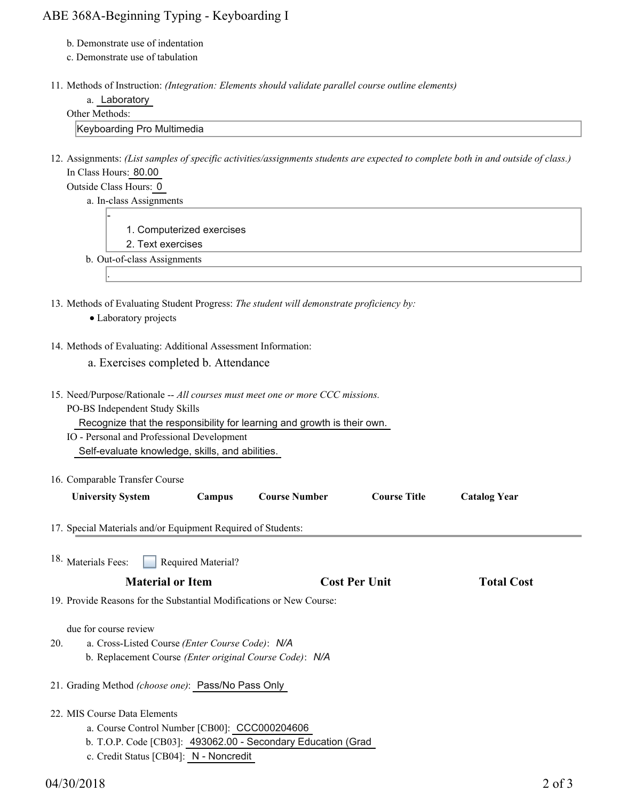## ABE 368A-Beginning Typing - Keyboarding I

- b. Demonstrate use of indentation
- c. Demonstrate use of tabulation
- 11. Methods of Instruction: *(Integration: Elements should validate parallel course outline elements)*

|  | Laboratory |
|--|------------|
|--|------------|

#### Other Methods:

Keyboarding Pro Multimedia

12. Assignments: (List samples of specific activities/assignments students are expected to complete both in and outside of class.) In Class Hours: 80.00

Outside Class Hours: 0

-

.

a. In-class Assignments

- 1. Computerized exercises
- 2. Text exercises
- b. Out-of-class Assignments
- 13. Methods of Evaluating Student Progress: The student will demonstrate proficiency by:
	- Laboratory projects

### 14. Methods of Evaluating: Additional Assessment Information:

- a. Exercises completed b. Attendance
- 15. Need/Purpose/Rationale -- All courses must meet one or more CCC missions. PO-BS Independent Study Skills Recognize that the responsibility for learning and growth is their own. IO - Personal and Professional Development Self-evaluate knowledge, skills, and abilities.

| 16. Comparable Transfer Course |        |                      |                     |                     |
|--------------------------------|--------|----------------------|---------------------|---------------------|
| <b>University System</b>       | Campus | <b>Course Number</b> | <b>Course Title</b> | <b>Catalog Year</b> |

- 17. Special Materials and/or Equipment Required of Students:
- Required Material? **Material or Item Cost Per Unit Total Cost**  18. Materials Fees: 19. Provide Reasons for the Substantial Modifications or New Course: due for course review a. Cross-Listed Course *(Enter Course Code)*: *N/A* b. Replacement Course *(Enter original Course Code)*: *N/A* 20. 21. Grading Method *(choose one)*: Pass/No Pass Only MIS Course Data Elements 22. a. Course Control Number [CB00]: CCC000204606 b. T.O.P. Code [CB03]: 493062.00 - Secondary Education (Grad c. Credit Status [CB04]: N - Noncredit